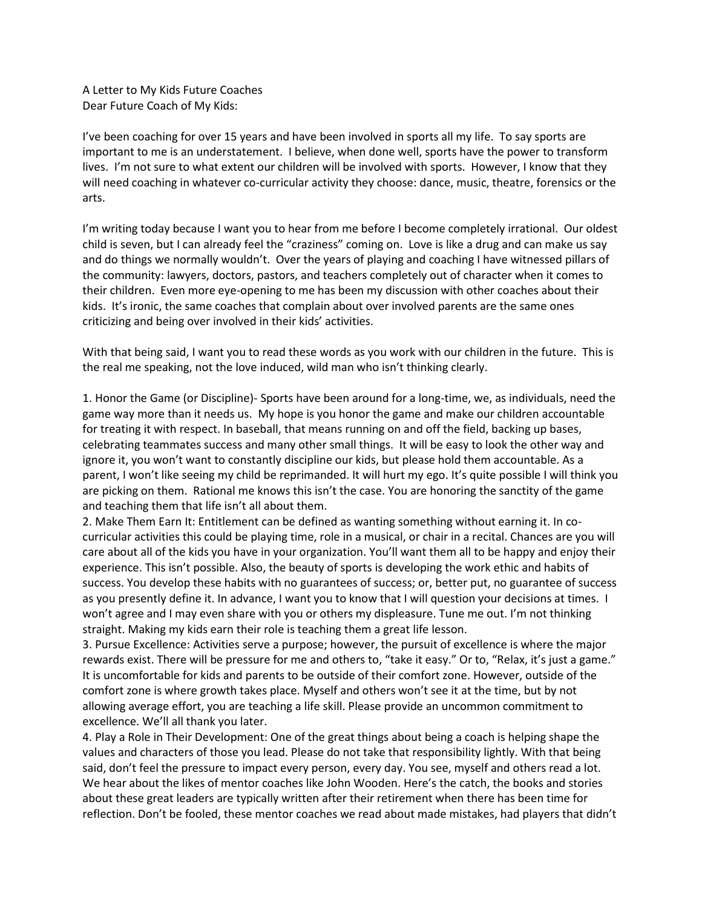A Letter to My Kids Future Coaches Dear Future Coach of My Kids:

I've been coaching for over 15 years and have been involved in sports all my life. To say sports are important to me is an understatement. I believe, when done well, sports have the power to transform lives. I'm not sure to what extent our children will be involved with sports. However, I know that they will need coaching in whatever co-curricular activity they choose: dance, music, theatre, forensics or the arts.

I'm writing today because I want you to hear from me before I become completely irrational. Our oldest child is seven, but I can already feel the "craziness" coming on. Love is like a drug and can make us say and do things we normally wouldn't. Over the years of playing and coaching I have witnessed pillars of the community: lawyers, doctors, pastors, and teachers completely out of character when it comes to their children. Even more eye-opening to me has been my discussion with other coaches about their kids. It's ironic, the same coaches that complain about over involved parents are the same ones criticizing and being over involved in their kids' activities.

With that being said, I want you to read these words as you work with our children in the future. This is the real me speaking, not the love induced, wild man who isn't thinking clearly.

1. Honor the Game (or Discipline)- Sports have been around for a long-time, we, as individuals, need the game way more than it needs us. My hope is you honor the game and make our children accountable for treating it with respect. In baseball, that means running on and off the field, backing up bases, celebrating teammates success and many other small things. It will be easy to look the other way and ignore it, you won't want to constantly discipline our kids, but please hold them accountable. As a parent, I won't like seeing my child be reprimanded. It will hurt my ego. It's quite possible I will think you are picking on them. Rational me knows this isn't the case. You are honoring the sanctity of the game and teaching them that life isn't all about them.

2. Make Them Earn It: Entitlement can be defined as wanting something without earning it. In cocurricular activities this could be playing time, role in a musical, or chair in a recital. Chances are you will care about all of the kids you have in your organization. You'll want them all to be happy and enjoy their experience. This isn't possible. Also, the beauty of sports is developing the work ethic and habits of success. You develop these habits with no guarantees of success; or, better put, no guarantee of success as you presently define it. In advance, I want you to know that I will question your decisions at times. I won't agree and I may even share with you or others my displeasure. Tune me out. I'm not thinking straight. Making my kids earn their role is teaching them a great life lesson.

3. Pursue Excellence: Activities serve a purpose; however, the pursuit of excellence is where the major rewards exist. There will be pressure for me and others to, "take it easy." Or to, "Relax, it's just a game." It is uncomfortable for kids and parents to be outside of their comfort zone. However, outside of the comfort zone is where growth takes place. Myself and others won't see it at the time, but by not allowing average effort, you are teaching a life skill. Please provide an uncommon commitment to excellence. We'll all thank you later.

4. Play a Role in Their Development: One of the great things about being a coach is helping shape the values and characters of those you lead. Please do not take that responsibility lightly. With that being said, don't feel the pressure to impact every person, every day. You see, myself and others read a lot. We hear about the likes of mentor coaches like John Wooden. Here's the catch, the books and stories about these great leaders are typically written after their retirement when there has been time for reflection. Don't be fooled, these mentor coaches we read about made mistakes, had players that didn't